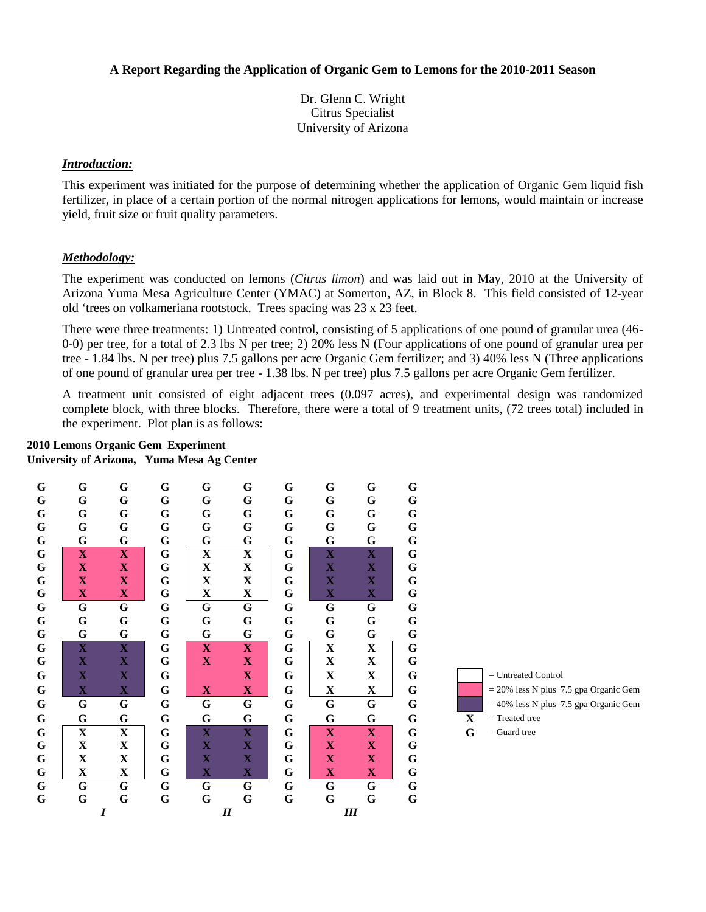## **A Report Regarding the Application of Organic Gem to Lemons for the 2010-2011 Season**

Dr. Glenn C. Wright Citrus Specialist University of Arizona

### *Introduction:*

This experiment was initiated for the purpose of determining whether the application of Organic Gem liquid fish fertilizer, in place of a certain portion of the normal nitrogen applications for lemons, would maintain or increase yield, fruit size or fruit quality parameters.

## *Methodology:*

The experiment was conducted on lemons (*Citrus limon*) and was laid out in May, 2010 at the University of Arizona Yuma Mesa Agriculture Center (YMAC) at Somerton, AZ, in Block 8. This field consisted of 12-year old 'trees on volkameriana rootstock. Trees spacing was 23 x 23 feet.

There were three treatments: 1) Untreated control, consisting of 5 applications of one pound of granular urea (46- 0-0) per tree, for a total of 2.3 lbs N per tree; 2) 20% less N (Four applications of one pound of granular urea per tree - 1.84 lbs. N per tree) plus 7.5 gallons per acre Organic Gem fertilizer; and 3) 40% less N (Three applications of one pound of granular urea per tree - 1.38 lbs. N per tree) plus 7.5 gallons per acre Organic Gem fertilizer.

A treatment unit consisted of eight adjacent trees (0.097 acres), and experimental design was randomized complete block, with three blocks. Therefore, there were a total of 9 treatment units, (72 trees total) included in the experiment. Plot plan is as follows:

#### **2010 Lemons Organic Gem Experiment**

**University of Arizona, Yuma Mesa Ag Center**

| G           | G                | G                         | G           | G           | G                       | G           | $\mathbf G$               | G                       | $\bf G$     |                                          |
|-------------|------------------|---------------------------|-------------|-------------|-------------------------|-------------|---------------------------|-------------------------|-------------|------------------------------------------|
| $\mathbf G$ | G                | $\mathbf G$               | G           | $\mathbf G$ | G                       | $\mathbf G$ | $\mathbf G$               | $\mathbf G$             | ${\bf G}$   |                                          |
| $\mathbf G$ | G                | G                         | G           | $\mathbf G$ | G                       | G           | $\mathbf G$               | $\mathbf G$             | $\mathbf G$ |                                          |
| $\mathbf G$ | G                | G                         | G           | G           | G                       | G           | G                         | G                       | ${\bf G}$   |                                          |
| $\mathbf G$ | G                | G                         | $\mathbf G$ | G           | $\mathbf G$             | $\mathbf G$ | $\mathbf G$               | G                       | ${\bf G}$   |                                          |
| G           | $\mathbf X$      | $\mathbf{X}$              | G           | $\mathbf X$ | $\overline{\mathbf{X}}$ | G           | $\mathbf X$               | $\overline{\mathbf{X}}$ | $\mathbf G$ |                                          |
| $\mathbf G$ | $\mathbf X$      | $\mathbf X$               | G           | $\mathbf X$ | $\mathbf X$             | G           | $\mathbf X$               | $\mathbf X$             | $\mathbf G$ |                                          |
| G           | $\mathbf X$      | $\overline{\mathbf{X}}$   | G           | X           | $\mathbf X$             | G           | $\mathbf X$               | $\mathbf X$             | $\bf G$     |                                          |
| $\mathbf G$ | $\mathbf X$      | $\mathbf{X}$              | G           | X           | $\mathbf X$             | G           | $\mathbf X$               | $\mathbf{X}$            | ${\bf G}$   |                                          |
| $\mathbf G$ | G                | G                         | G           | G           | ${\bf G}$               | G           | G                         | $\mathbf G$             | $\bf G$     |                                          |
| G           | G                | G                         | G           | G           | G                       | $\mathbf G$ | G                         | ${\bf G}$               | ${\bf G}$   |                                          |
| G           | G                | G                         | G           | G           | G                       | G           | $\mathbf G$               | $\mathbf G$             | $\bf G$     |                                          |
| $\mathbf G$ | $\mathbf X$      | $\mathbf{X}$              | G           | $\mathbf X$ | $\mathbf{X}$            | G           | $\mathbf X$               | $\mathbf X$             | $\mathbf G$ |                                          |
| $\mathbf G$ | $\mathbf X$      | $\mathbf X$               | $\mathbf G$ | $\mathbf X$ | $\mathbf X$             | G           | $\mathbf X$               | $\mathbf X$             | G           |                                          |
| G           | $\mathbf X$      | $\mathbf X$               | G           |             | $\mathbf{X}$            | G           | X                         | $\mathbf{X}$            | G           | $=$ Untreated Control                    |
|             |                  |                           |             |             |                         |             |                           |                         |             |                                          |
| G           | $\mathbf X$      | $\boldsymbol{\mathrm{X}}$ | G           | $\mathbf X$ | $\mathbf{X}$            | $\mathbf G$ | $\mathbf X$               | $\mathbf{X}$            | $\bf G$     | $= 20\%$ less N plus 7.5 gpa Organic Gem |
| $\mathbf G$ | G                | $\mathbf G$               | $\mathbf G$ | $\mathbf G$ | ${\bf G}$               | $\mathbf G$ | ${\bf G}$                 | $\mathbf G$             | ${\bf G}$   | $=$ 40% less N plus 7.5 gpa Organic Gem  |
| G           | G                | G                         | $\mathbf G$ | G           | G                       | G           | G                         | G                       | G           | $=$ Treated tree<br>X                    |
| G           | $\mathbf X$      | $\mathbf X$               | G           | $\mathbf X$ | $\mathbf X$             | G           | $\boldsymbol{\mathrm{X}}$ | $\mathbf X$             | G           | G<br>$=$ Guard tree                      |
| $\mathbf G$ | X                | $\mathbf X$               | G           | $\mathbf X$ | $\mathbf X$             | G           | $\mathbf X$               | $\mathbf X$             | G           |                                          |
| G           | X                | $\mathbf X$               | G           | $\mathbf X$ | $\mathbf X$             | G           | $\mathbf X$               | $\mathbf X$             | $\bf G$     |                                          |
| $\mathbf G$ | $\mathbf X$      | $\mathbf X$               | $\mathbf G$ | $\mathbf X$ | $\mathbf X$             | $\mathbf G$ | $\mathbf X$               | $\mathbf X$             | $\mathbf G$ |                                          |
| $\mathbf G$ | $\mathbf G$      | $\mathbf G$               | G           | $\mathbf G$ | $\mathbf G$             | $\mathbf G$ | $\mathbf G$               | $\mathbf G$             | $\mathbf G$ |                                          |
| $\mathbf G$ | $\mathbf G$      | G                         | $\mathbf G$ | G           | $\mathbf G$             | $\mathbf G$ | $\mathbf G$               | $\mathbf G$             | ${\bf G}$   |                                          |
|             | $\boldsymbol{I}$ |                           |             | I           |                         |             |                           | III                     |             |                                          |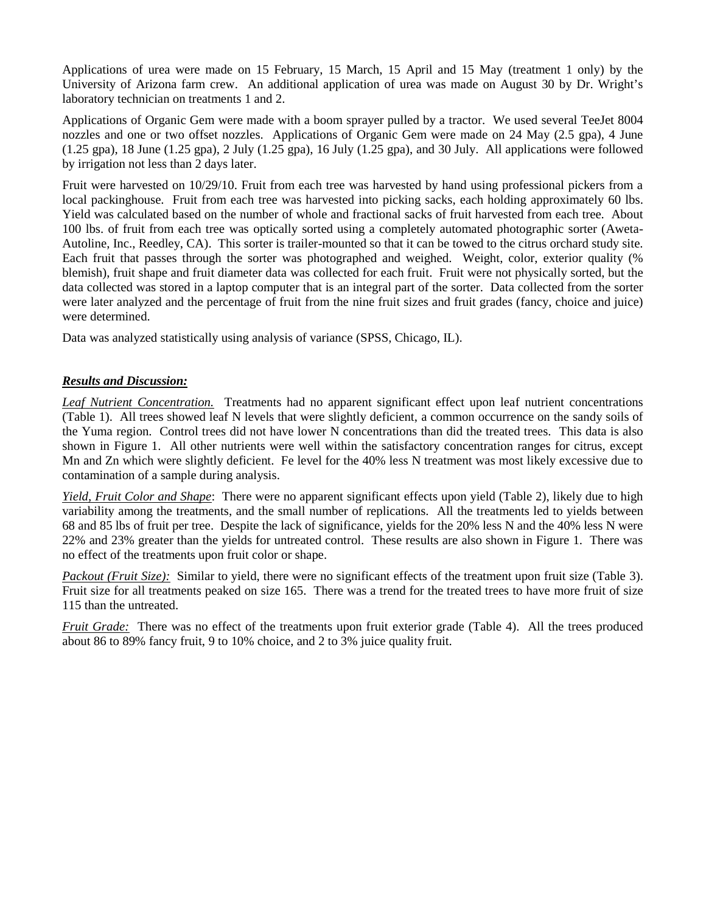Applications of urea were made on 15 February, 15 March, 15 April and 15 May (treatment 1 only) by the University of Arizona farm crew. An additional application of urea was made on August 30 by Dr. Wright's laboratory technician on treatments 1 and 2.

Applications of Organic Gem were made with a boom sprayer pulled by a tractor. We used several TeeJet 8004 nozzles and one or two offset nozzles. Applications of Organic Gem were made on 24 May (2.5 gpa), 4 June (1.25 gpa), 18 June (1.25 gpa), 2 July (1.25 gpa), 16 July (1.25 gpa), and 30 July. All applications were followed by irrigation not less than 2 days later.

Fruit were harvested on 10/29/10. Fruit from each tree was harvested by hand using professional pickers from a local packinghouse. Fruit from each tree was harvested into picking sacks, each holding approximately 60 lbs. Yield was calculated based on the number of whole and fractional sacks of fruit harvested from each tree. About 100 lbs. of fruit from each tree was optically sorted using a completely automated photographic sorter (Aweta-Autoline, Inc., Reedley, CA). This sorter is trailer-mounted so that it can be towed to the citrus orchard study site. Each fruit that passes through the sorter was photographed and weighed. Weight, color, exterior quality (% blemish), fruit shape and fruit diameter data was collected for each fruit. Fruit were not physically sorted, but the data collected was stored in a laptop computer that is an integral part of the sorter. Data collected from the sorter were later analyzed and the percentage of fruit from the nine fruit sizes and fruit grades (fancy, choice and juice) were determined.

Data was analyzed statistically using analysis of variance (SPSS, Chicago, IL).

## *Results and Discussion:*

*Leaf Nutrient Concentration.* Treatments had no apparent significant effect upon leaf nutrient concentrations (Table 1). All trees showed leaf N levels that were slightly deficient, a common occurrence on the sandy soils of the Yuma region. Control trees did not have lower N concentrations than did the treated trees. This data is also shown in Figure 1. All other nutrients were well within the satisfactory concentration ranges for citrus, except Mn and Zn which were slightly deficient. Fe level for the 40% less N treatment was most likely excessive due to contamination of a sample during analysis.

*Yield, Fruit Color and Shape*: There were no apparent significant effects upon yield (Table 2), likely due to high variability among the treatments, and the small number of replications. All the treatments led to yields between 68 and 85 lbs of fruit per tree. Despite the lack of significance, yields for the 20% less N and the 40% less N were 22% and 23% greater than the yields for untreated control. These results are also shown in Figure 1. There was no effect of the treatments upon fruit color or shape.

*Packout (Fruit Size):* Similar to yield, there were no significant effects of the treatment upon fruit size (Table 3). Fruit size for all treatments peaked on size 165. There was a trend for the treated trees to have more fruit of size 115 than the untreated.

*Fruit Grade:* There was no effect of the treatments upon fruit exterior grade (Table 4). All the trees produced about 86 to 89% fancy fruit, 9 to 10% choice, and 2 to 3% juice quality fruit.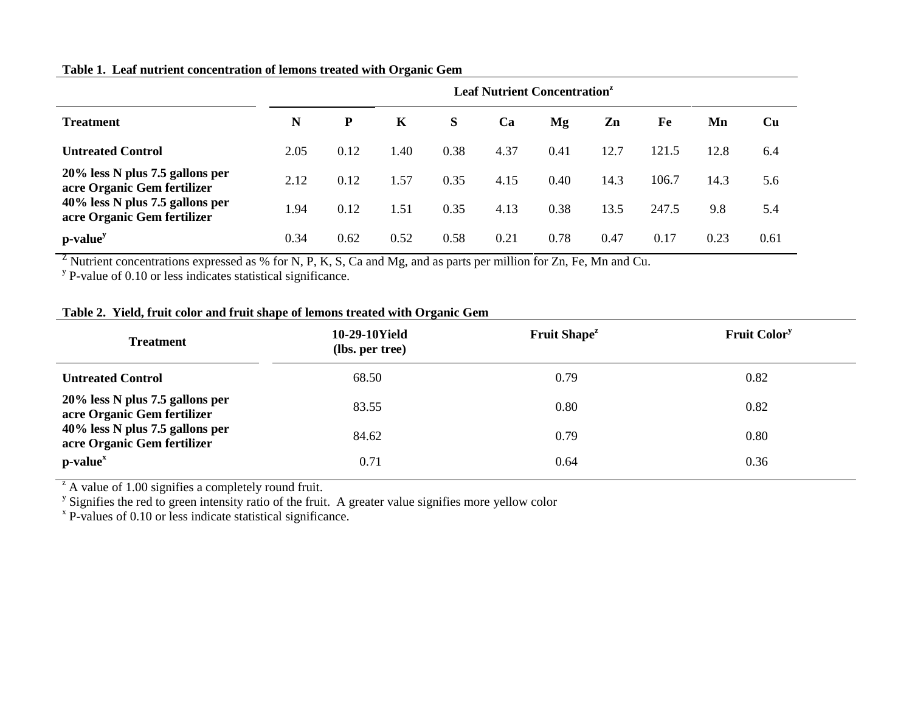## **Table 1. Leaf nutrient concentration of lemons treated with Organic Gem**

|                                                                | <b>Leaf Nutrient Concentration<sup>z</sup></b> |      |      |      |      |      |      |       |      |      |
|----------------------------------------------------------------|------------------------------------------------|------|------|------|------|------|------|-------|------|------|
| <b>Treatment</b>                                               | N                                              | P    | K    | S    | Ca   | Mg   | Zn   | Fe    | Mn   | Cu   |
| <b>Untreated Control</b>                                       | 2.05                                           | 0.12 | 1.40 | 0.38 | 4.37 | 0.41 | 12.7 | 121.5 | 12.8 | 6.4  |
| 20% less N plus 7.5 gallons per<br>acre Organic Gem fertilizer | 2.12                                           | 0.12 | 1.57 | 0.35 | 4.15 | 0.40 | 14.3 | 106.7 | 14.3 | 5.6  |
| 40% less N plus 7.5 gallons per<br>acre Organic Gem fertilizer | 1.94                                           | 0.12 | 1.51 | 0.35 | 4.13 | 0.38 | 13.5 | 247.5 | 9.8  | 5.4  |
| $p-valuey$                                                     | 0.34                                           | 0.62 | 0.52 | 0.58 | 0.21 | 0.78 | 0.47 | 0.17  | 0.23 | 0.61 |

<sup>Z</sup> Nutrient concentrations expressed as % for N, P, K, S, Ca and Mg, and as parts per million for Zn, Fe, Mn and Cu.<br><sup>y</sup> P-value of 0.10 or less indicates statistical significance.

# **Table 2. Yield, fruit color and fruit shape of lemons treated with Organic Gem**

| <b>Treatment</b>                                               | 10-29-10Yield<br>(lbs. per tree) | Fruit Shape <sup>z</sup> | <b>Fruit Color</b> <sup>y</sup> |  |
|----------------------------------------------------------------|----------------------------------|--------------------------|---------------------------------|--|
| <b>Untreated Control</b>                                       | 68.50                            | 0.79                     | 0.82                            |  |
| 20% less N plus 7.5 gallons per<br>acre Organic Gem fertilizer | 83.55                            | 0.80                     | 0.82                            |  |
| 40% less N plus 7.5 gallons per<br>acre Organic Gem fertilizer | 84.62                            | 0.79                     | 0.80                            |  |
| $p-valuex$                                                     | 0.71                             | 0.64                     | 0.36                            |  |

<sup>z</sup> A value of 1.00 signifies a completely round fruit.<br>
<sup>y</sup> Signifies the red to green intensity ratio of the fruit. A greater value signifies more yellow color<br>
<sup>x</sup> P-values of 0.10 or less indicate statistical signific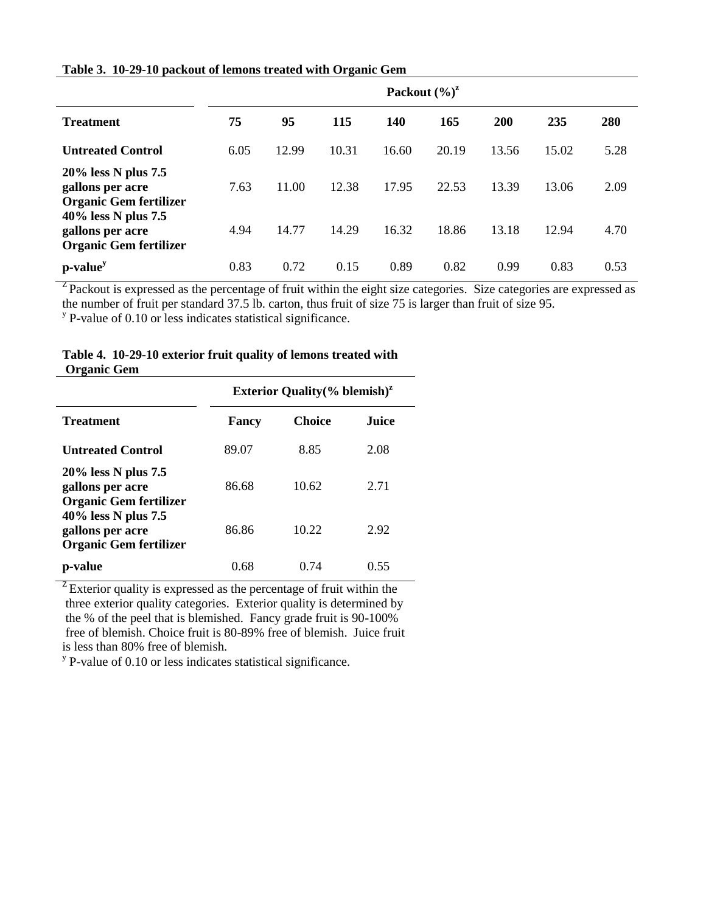| Table 3. 10-29-10 packout of lemons treated with Organic Gem |  |
|--------------------------------------------------------------|--|
|                                                              |  |

|                                                                          | Packout $(\frac{6}{6})^2$ |       |       |       |       |            |       |      |
|--------------------------------------------------------------------------|---------------------------|-------|-------|-------|-------|------------|-------|------|
| <b>Treatment</b>                                                         | 75                        | 95    | 115   | 140   | 165   | <b>200</b> | 235   | 280  |
| <b>Untreated Control</b>                                                 | 6.05                      | 12.99 | 10.31 | 16.60 | 20.19 | 13.56      | 15.02 | 5.28 |
| 20% less N plus 7.5<br>gallons per acre<br><b>Organic Gem fertilizer</b> | 7.63                      | 11.00 | 12.38 | 17.95 | 22.53 | 13.39      | 13.06 | 2.09 |
| 40% less N plus 7.5<br>gallons per acre<br><b>Organic Gem fertilizer</b> | 4.94                      | 14.77 | 14.29 | 16.32 | 18.86 | 13.18      | 12.94 | 4.70 |
| p-value <sup>y</sup>                                                     | 0.83                      | 0.72  | 0.15  | 0.89  | 0.82  | 0.99       | 0.83  | 0.53 |

<sup>Z</sup> Packout is expressed as the percentage of fruit within the eight size categories. Size categories are expressed as the number of fruit per standard 37.5 lb. carton, thus fruit of size 75 is larger than fruit of size 95.

<sup>y</sup> P-value of 0.10 or less indicates statistical significance.

| Organic Gem                                                              |                                                     |               |              |  |  |  |  |  |
|--------------------------------------------------------------------------|-----------------------------------------------------|---------------|--------------|--|--|--|--|--|
|                                                                          | <b>Exterior Quality</b> $(\%$ blemish) <sup>2</sup> |               |              |  |  |  |  |  |
| <b>Treatment</b>                                                         | Fancy                                               | <b>Choice</b> | <b>Juice</b> |  |  |  |  |  |
| <b>Untreated Control</b>                                                 | 89.07                                               | 8.85          | 2.08         |  |  |  |  |  |
| 20% less N plus 7.5<br>gallons per acre<br><b>Organic Gem fertilizer</b> | 86.68                                               | 10.62         | 2.71         |  |  |  |  |  |
| 40% less N plus 7.5<br>gallons per acre<br><b>Organic Gem fertilizer</b> | 86.86                                               | 10.22         | 2.92         |  |  |  |  |  |
| p-value                                                                  | 0.68                                                | 0.74          | 0.55         |  |  |  |  |  |

## **Table 4. 10-29-10 exterior fruit quality of lemons treated with Organic Gem**

 $Z$  Exterior quality is expressed as the percentage of fruit within the three exterior quality categories. Exterior quality is determined by the % of the peel that is blemished. Fancy grade fruit is 90-100% free of blemish. Choice fruit is 80-89% free of blemish. Juice fruit is less than 80% free of blemish.

 $y$  P-value of 0.10 or less indicates statistical significance.